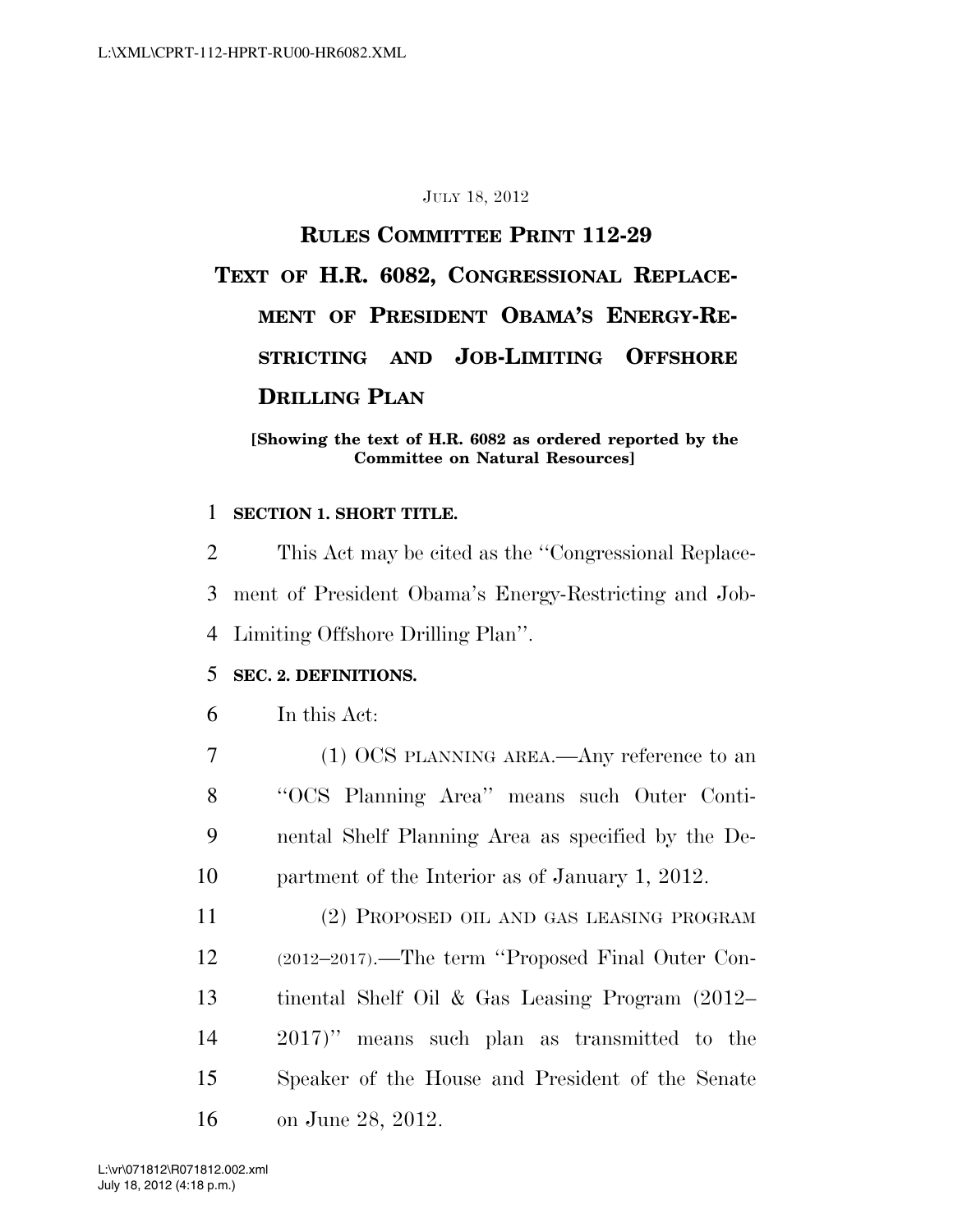#### JULY 18, 2012

# **RULES COMMITTEE PRINT 112-29 TEXT OF H.R. 6082, CONGRESSIONAL REPLACE-MENT OF PRESIDENT OBAMA'S ENERGY-RE-STRICTING AND JOB-LIMITING OFFSHORE DRILLING PLAN**

#### **[Showing the text of H.R. 6082 as ordered reported by the Committee on Natural Resources]**

#### 1 **SECTION 1. SHORT TITLE.**

2 This Act may be cited as the ''Congressional Replace-3 ment of President Obama's Energy-Restricting and Job-4 Limiting Offshore Drilling Plan''.

#### 5 **SEC. 2. DEFINITIONS.**

- 6 In this Act:
- 7 (1) OCS PLANNING AREA.—Any reference to an 8 ''OCS Planning Area'' means such Outer Conti-9 nental Shelf Planning Area as specified by the De-10 partment of the Interior as of January 1, 2012.
- 11 (2) PROPOSED OIL AND GAS LEASING PROGRAM 12 (2012–2017).—The term ''Proposed Final Outer Con-13 tinental Shelf Oil & Gas Leasing Program (2012– 14 2017)'' means such plan as transmitted to the 15 Speaker of the House and President of the Senate 16 on June 28, 2012.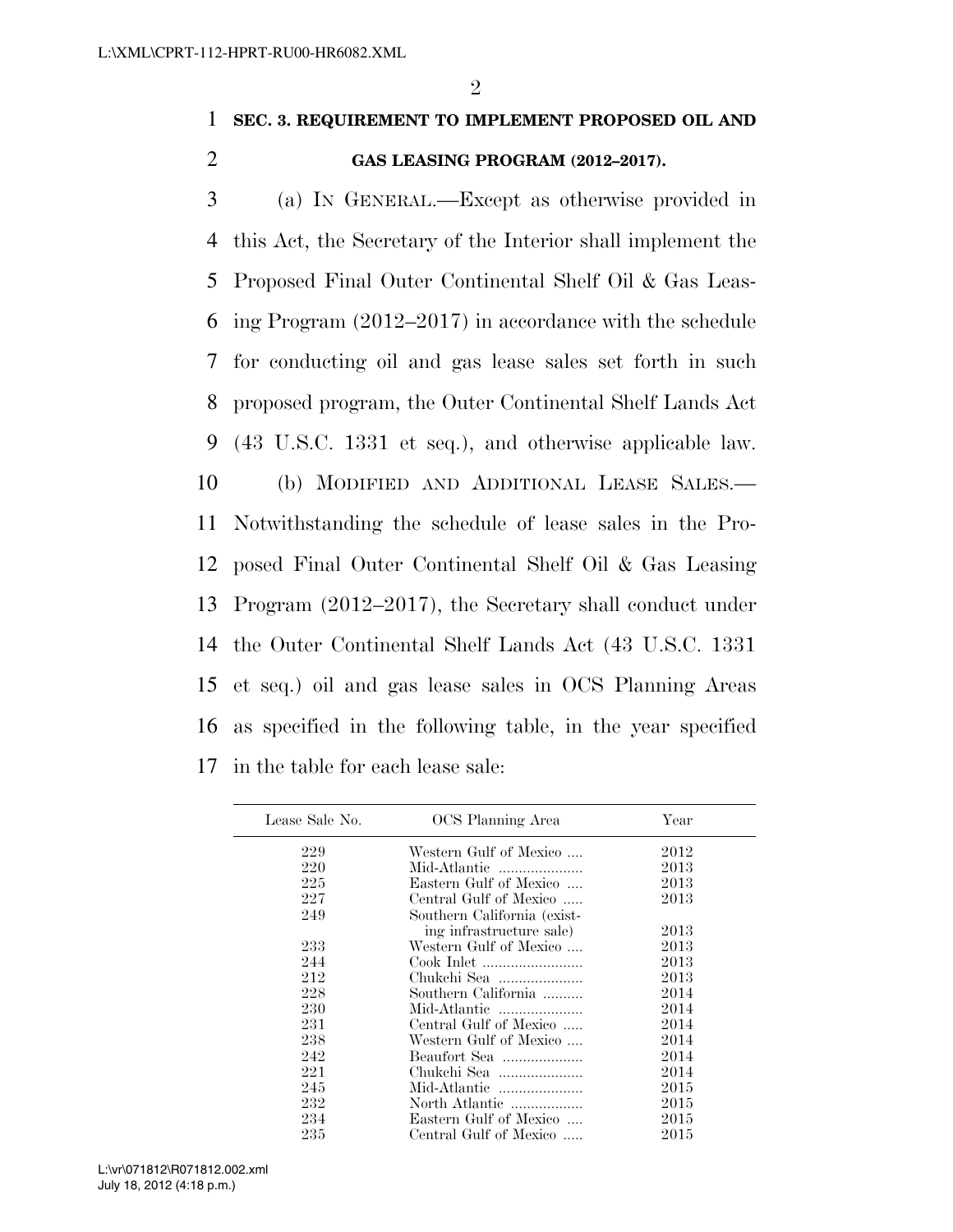## 1 **SEC. 3. REQUIREMENT TO IMPLEMENT PROPOSED OIL AND**  2 **GAS LEASING PROGRAM (2012–2017).**

 (a) IN GENERAL.—Except as otherwise provided in this Act, the Secretary of the Interior shall implement the Proposed Final Outer Continental Shelf Oil & Gas Leas- ing Program (2012–2017) in accordance with the schedule for conducting oil and gas lease sales set forth in such proposed program, the Outer Continental Shelf Lands Act (43 U.S.C. 1331 et seq.), and otherwise applicable law. (b) MODIFIED AND ADDITIONAL LEASE SALES.— Notwithstanding the schedule of lease sales in the Pro- posed Final Outer Continental Shelf Oil & Gas Leasing Program (2012–2017), the Secretary shall conduct under the Outer Continental Shelf Lands Act (43 U.S.C. 1331 et seq.) oil and gas lease sales in OCS Planning Areas as specified in the following table, in the year specified in the table for each lease sale:

| Lease Sale No. | OCS Planning Area           | Year |
|----------------|-----------------------------|------|
| 229            | Western Gulf of Mexico      | 2012 |
| 220            | Mid-Atlantic                | 2013 |
| 225            | Eastern Gulf of Mexico      | 2013 |
| 227            | Central Gulf of Mexico      | 2013 |
| 249            | Southern California (exist- |      |
|                | ing infrastructure sale)    | 2013 |
| 233            | Western Gulf of Mexico      | 2013 |
| 244            |                             | 2013 |
| 212            | Chukchi Sea                 | 2013 |
| 228            | Southern California         | 2014 |
| 230            | Mid-Atlantic                | 2014 |
| 231            | Central Gulf of Mexico      | 2014 |
| 238            | Western Gulf of Mexico      | 2014 |
| 242            | Beaufort Sea                | 2014 |
| 221            | Chukchi Sea                 | 2014 |
| 245            | Mid-Atlantic                | 2015 |
| 232            | North Atlantic              | 2015 |
| 234            | Eastern Gulf of Mexico      | 2015 |
| 235            | Central Gulf of Mexico      | 2015 |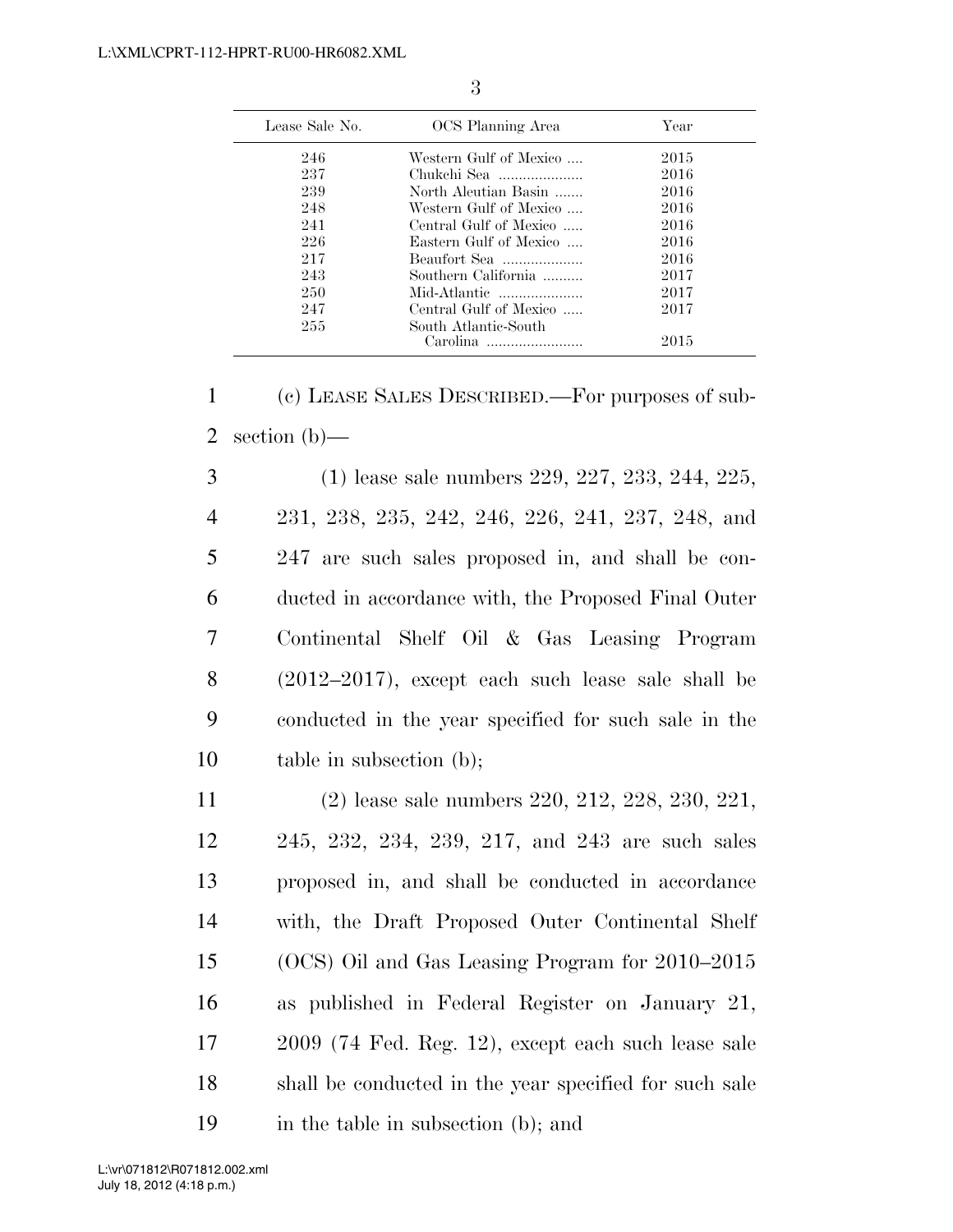| Lease Sale No. | OCS Planning Area      | Year |
|----------------|------------------------|------|
| 246            | Western Gulf of Mexico | 2015 |
| 237            | Chukchi Sea            | 2016 |
| 239            | North Aleutian Basin   | 2016 |
| 248            | Western Gulf of Mexico | 2016 |
| 241            | Central Gulf of Mexico | 2016 |
| 226            | Eastern Gulf of Mexico | 2016 |
| 217            | Beaufort Sea           | 2016 |
| 243            | Southern California    | 2017 |
| 250            | Mid-Atlantic           | 2017 |
| 247            | Central Gulf of Mexico | 2017 |
| 255            | South Atlantic-South   |      |
|                | Carolina               | 2015 |

3

| $\mathbf{1}$   | (c) LEASE SALES DESCRIBED.—For purposes of sub-      |
|----------------|------------------------------------------------------|
| $\overline{2}$ | section $(b)$ —                                      |
| 3              | $(1)$ lease sale numbers 229, 227, 233, 244, 225,    |
| $\overline{4}$ | 231, 238, 235, 242, 246, 226, 241, 237, 248, and     |
| 5              | 247 are such sales proposed in, and shall be con-    |
| 6              | ducted in accordance with, the Proposed Final Outer  |
| 7              | Continental Shelf Oil & Gas Leasing Program          |
| 8              | $(2012-2017)$ , except each such lease sale shall be |
| 9              | conducted in the year specified for such sale in the |
| 10             | table in subsection $(b)$ ;                          |
| 11             | $(2)$ lease sale numbers 220, 212, 228, 230, 221,    |
| 12             | 245, 232, 234, 239, 217, and 243 are such sales      |
| 13             | proposed in, and shall be conducted in accordance    |
| 14             | with, the Draft Proposed Outer Continental Shelf     |
| 15             | (OCS) Oil and Gas Leasing Program for 2010–2015      |
| 16             | as published in Federal Register on January 21,      |

- 17 2009 (74 Fed. Reg. 12), except each such lease sale 18 shall be conducted in the year specified for such sale
- 19 in the table in subsection (b); and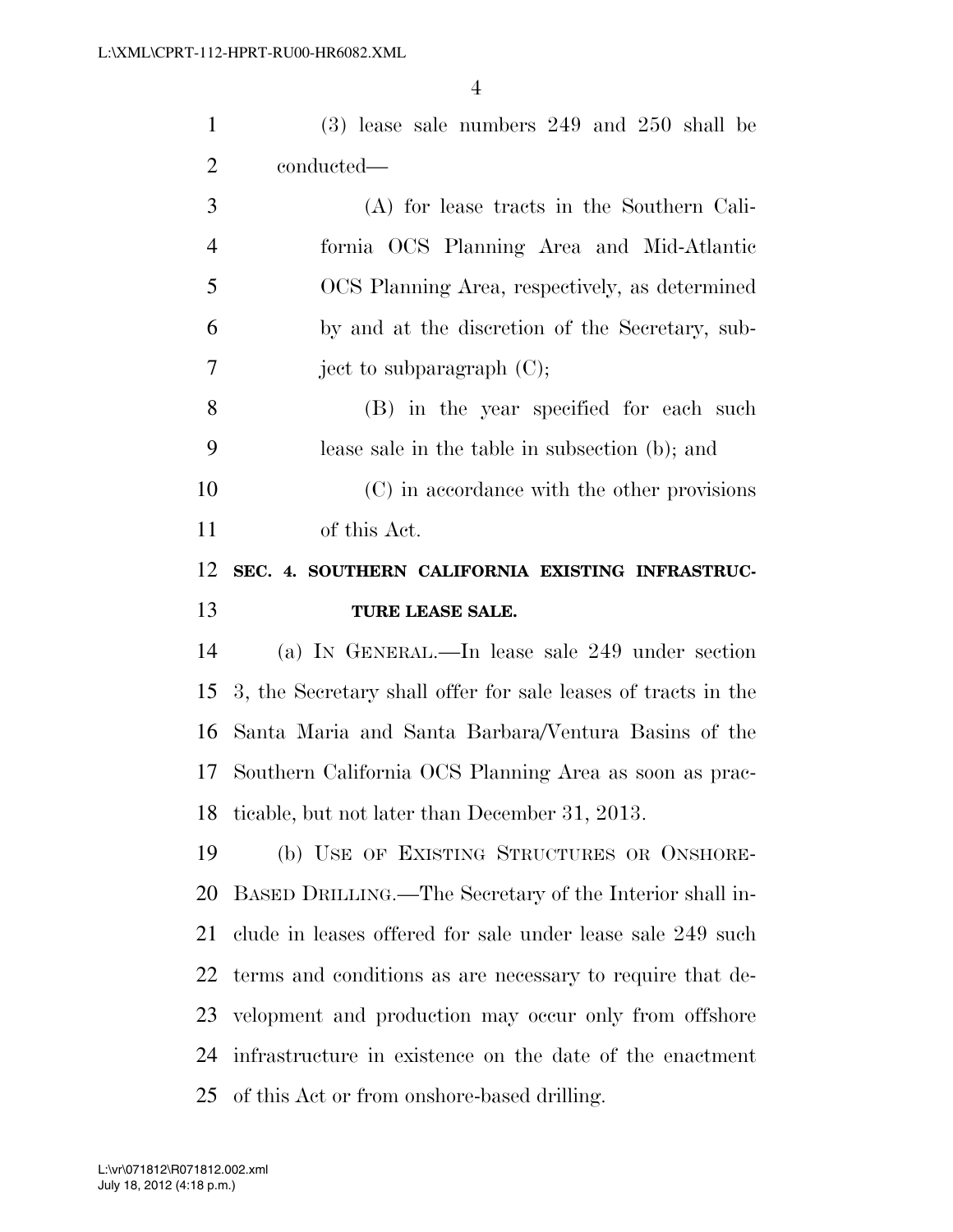| $\mathbf{1}$   | $(3)$ lease sale numbers 249 and 250 shall be                 |
|----------------|---------------------------------------------------------------|
| $\overline{2}$ | conducted—                                                    |
| 3              | (A) for lease tracts in the Southern Cali-                    |
| $\overline{4}$ | fornia OCS Planning Area and Mid-Atlantic                     |
| 5              | OCS Planning Area, respectively, as determined                |
| 6              | by and at the discretion of the Secretary, sub-               |
| 7              | ject to subparagraph $(C)$ ;                                  |
| 8              | (B) in the year specified for each such                       |
| 9              | lease sale in the table in subsection (b); and                |
| 10             | (C) in accordance with the other provisions                   |
| 11             | of this Act.                                                  |
| 12             | SEC. 4. SOUTHERN CALIFORNIA EXISTING INFRASTRUC-              |
|                |                                                               |
| 13             | TURE LEASE SALE.                                              |
| 14             | (a) IN GENERAL.—In lease sale 249 under section               |
| 15             | 3, the Secretary shall offer for sale leases of tracts in the |
| 16             | Santa Maria and Santa Barbara/Ventura Basins of the           |
| 17             | Southern California OCS Planning Area as soon as prac-        |
| 18             | ticable, but not later than December 31, 2013.                |
| 19             | (b) USE OF EXISTING STRUCTURES OR ONSHORE-                    |
| 20             | BASED DRILLING.—The Secretary of the Interior shall in-       |
| 21             | clude in leases offered for sale under lease sale 249 such    |
| 22             | terms and conditions as are necessary to require that de-     |
| 23             | velopment and production may occur only from offshore         |
| 24             | infrastructure in existence on the date of the enactment      |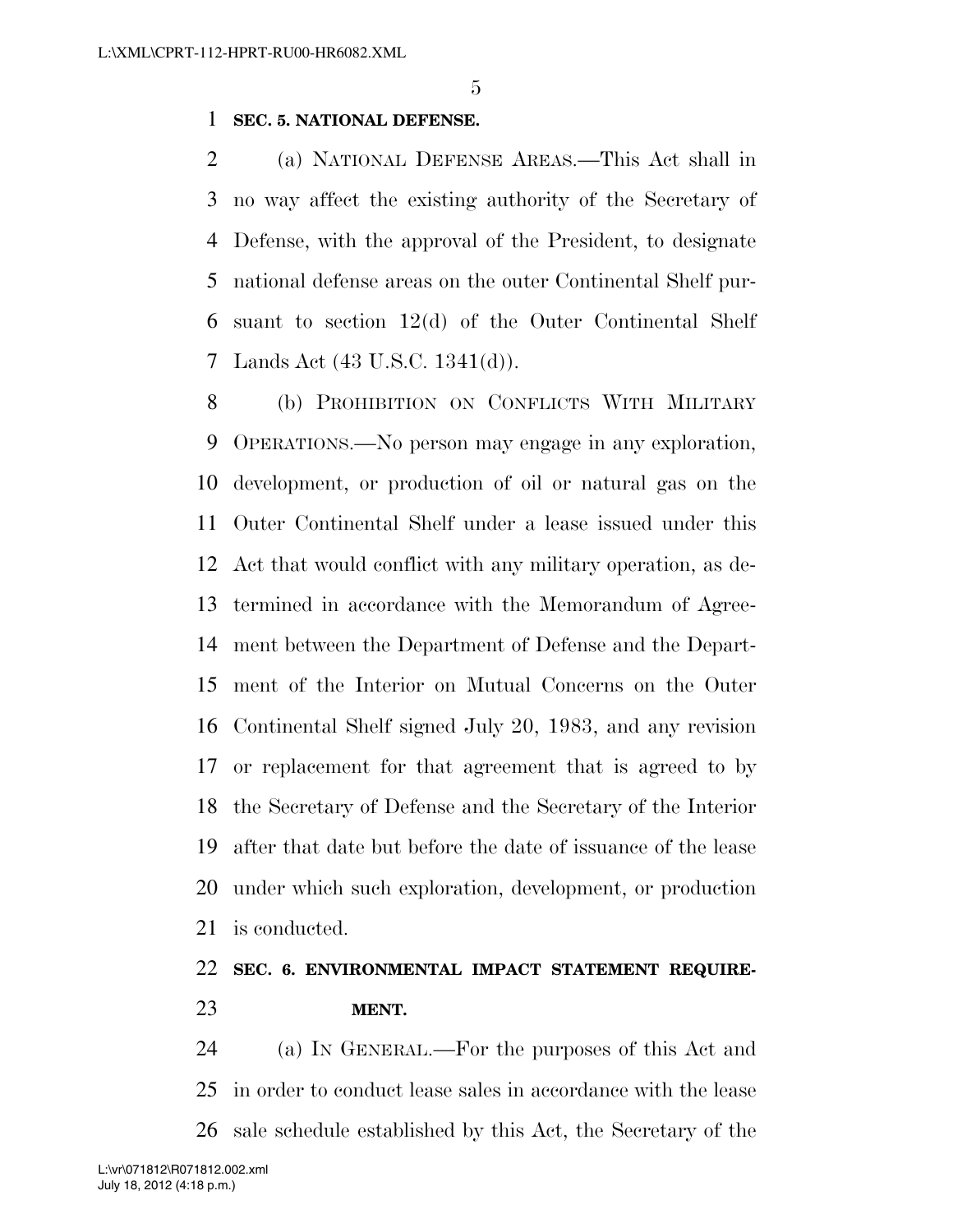#### **SEC. 5. NATIONAL DEFENSE.**

 (a) NATIONAL DEFENSE AREAS.—This Act shall in no way affect the existing authority of the Secretary of Defense, with the approval of the President, to designate national defense areas on the outer Continental Shelf pur- suant to section 12(d) of the Outer Continental Shelf Lands Act (43 U.S.C. 1341(d)).

 (b) PROHIBITION ON CONFLICTS WITH MILITARY OPERATIONS.—No person may engage in any exploration, development, or production of oil or natural gas on the Outer Continental Shelf under a lease issued under this Act that would conflict with any military operation, as de- termined in accordance with the Memorandum of Agree- ment between the Department of Defense and the Depart- ment of the Interior on Mutual Concerns on the Outer Continental Shelf signed July 20, 1983, and any revision or replacement for that agreement that is agreed to by the Secretary of Defense and the Secretary of the Interior after that date but before the date of issuance of the lease under which such exploration, development, or production is conducted.

### **SEC. 6. ENVIRONMENTAL IMPACT STATEMENT REQUIRE-MENT.**

 (a) IN GENERAL.—For the purposes of this Act and in order to conduct lease sales in accordance with the lease sale schedule established by this Act, the Secretary of the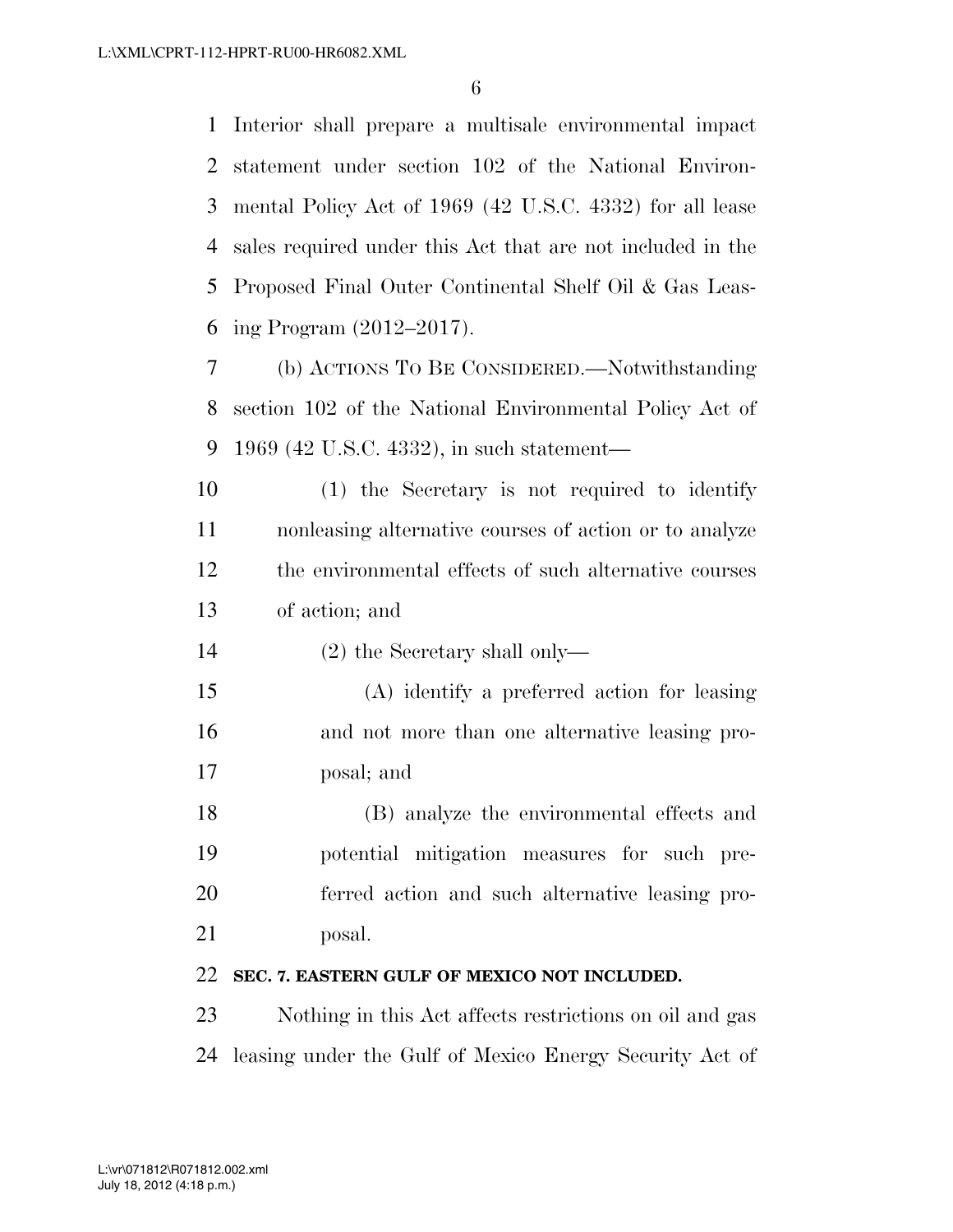Interior shall prepare a multisale environmental impact statement under section 102 of the National Environ- mental Policy Act of 1969 (42 U.S.C. 4332) for all lease sales required under this Act that are not included in the Proposed Final Outer Continental Shelf Oil & Gas Leas-ing Program (2012–2017).

 (b) ACTIONS TO BE CONSIDERED.—Notwithstanding section 102 of the National Environmental Policy Act of 1969 (42 U.S.C. 4332), in such statement—

 (1) the Secretary is not required to identify nonleasing alternative courses of action or to analyze the environmental effects of such alternative courses of action; and

(2) the Secretary shall only—

 (A) identify a preferred action for leasing and not more than one alternative leasing pro-posal; and

 (B) analyze the environmental effects and potential mitigation measures for such pre- ferred action and such alternative leasing pro-posal.

#### **SEC. 7. EASTERN GULF OF MEXICO NOT INCLUDED.**

 Nothing in this Act affects restrictions on oil and gas leasing under the Gulf of Mexico Energy Security Act of